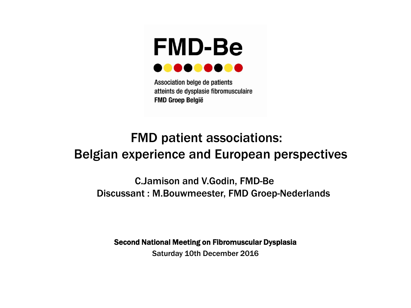

Association belge de patients atteints de dysplasie fibromusculaire **FMD Groep België** 

## FMD patient associations: Belgian experience and European perspectives

 C.Jamison and V.Godin, FMD-Be Discussant : M.Bouwmeester, FMD Groep-Nederlands

Second National Meeting on Fibromuscular Dysplasia

Saturday 10th December 2016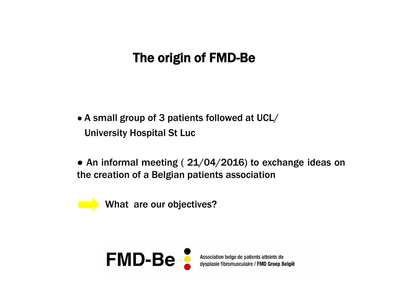# The origin of FMD-Be

- A small group of 3 patients followed at UCL/ University Hospital St Luc
- An informal meeting (21/04/2016) to exchange ideas on the creation of a Belgian patients association

What are our objectives?



Association belge de patients atteints de<br>dysplasie fibromusculaire / FMD Groep België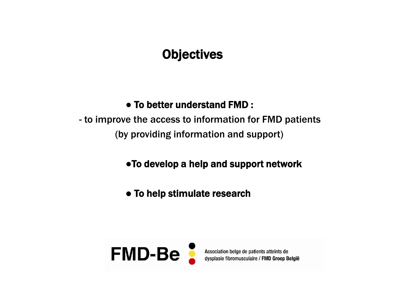## **Objectives**

## ● To better understand FMD :

 - to improve the access to information for FMD patients (by providing information and support)

●To develop a help and support network

● To help stimulate research

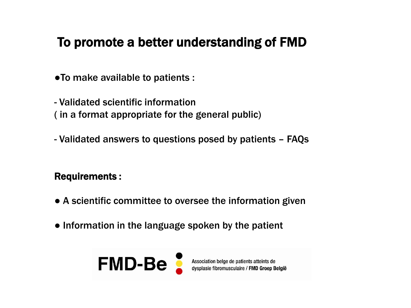## To promote a better understanding of FMD

●To make available to patients :

- Validated scientific information ( in a format appropriate for the general public)

- Validated answers to questions posed by patients – FAQs

### Requirements :

- A scientific committee to oversee the information given
- Information in the language spoken by the patient



Association belge de patients atteints de dysplasie fibromusculaire / FMD Groep België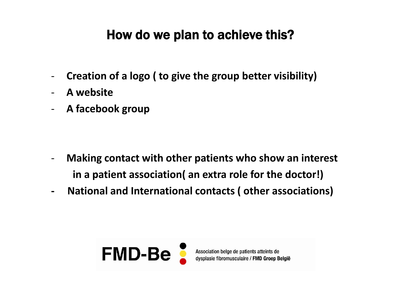# How do we plan to achieve this?

- **Creation of a logo ( to give the group better visibility)**
- **A website**
- **A facebook group**

- **Making contact with other patients who show an interest in a patient association( an extra role for the doctor!)**
- **National and International contacts ( other associations)**

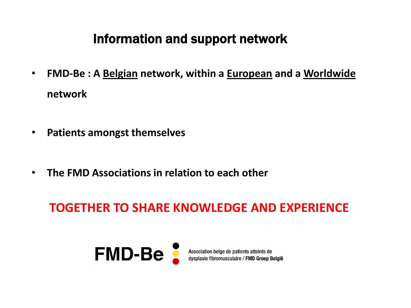## Information and support network

- **FMD-Be : A Belgian network, within a European and a Worldwide network**
- **Patients amongst themselves**
- **The FMD Associations in relation to each other**

## **TOGETHER TO SHARE KNOWLEDGE AND EXPERIENCE**

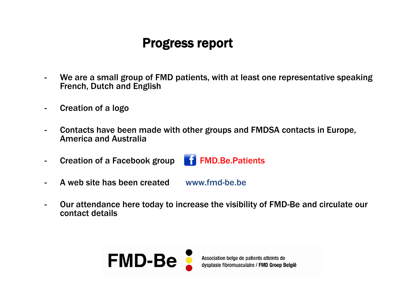## Progress report

- We are a small group of FMD patients, with at least one representative speaking French, Dutch and English
- Creation of a logo
- Contacts have been made with other groups and FMDSA contacts in Europe, America and Australia
- Creation of a Facebook group **F1 FMD.Be.Patients**



- A web site has been created www.fmd-be.be
- Our attendance here today to increase the visibility of FMD-Be and circulate our contact details

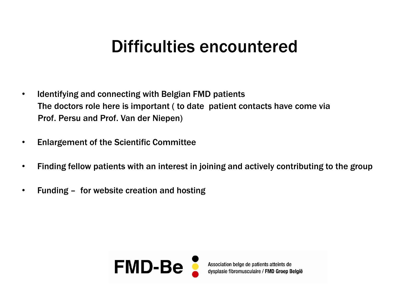# Difficulties encountered

- Identifying and connecting with Belgian FMD patients The doctors role here is important ( to date patient contacts have come via Prof. Persu and Prof. Van der Niepen)
- Enlargement of the Scientific Committee
- Finding fellow patients with an interest in joining and actively contributing to the group
- Funding for website creation and hosting

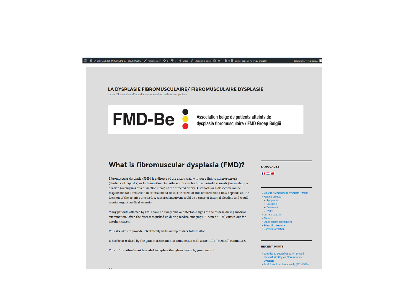#### 1 2 Copier dans un nouveau brouillon CHL ... / Personnaliser → 8 甲 0 + Créer / Modifier la page  $\blacksquare$  ● ■→ ■ Copier dans un nouveau brouillon

Salutations, veronique

### LA DYSPLASIE FIBROMUSCULAIRE/FIBROMUSCULAIRE DYSPLASIE

Un site d'information à l'intention des patients/ een Website voor patiënten

**FMD-Be** 

Association belge de patients atteints de dysplasie fibromusculaire / FMD Groep België

### What is fibromuscular dysplasia (FMD)?

Fibromuscular dysplasia (FMD) is a disease of the artery wall, without a link to atherosclerosis (cholesterol deposits) or inflammation. Sometimes this can lead to an arterial stenosis (narrowing), a dilation (aneurysm) or a dissection (tear) of the affected artery. A stenosis or a dissection can be responsible for a reduction in arterial blood flow. The effect of this reduced blood flow depends on the location of the arteries involved. A ruptured aneurysm could be a cause of internal bleeding and would require urgent medical attention.

Many patients affected by FMD have no symptoms or detectable signs of the disease during medical examination. Often the disease is picked up during medical imaging (CT scan or IRM) carried out for another reason.

This site aims to provide scientifically valid and up to date information.

It has been realised by the patient association in conjunction with a scientific (medical) committee.

This information is not intended to replace that given to you by your doctor!

#### **LANGUAGES**

 $H =$ 

### $\bullet$  What is fibromuscular dysplasia (FMD)?

- $\bullet$  Medical aspects • Symptoms
- · Diagnosis
- Treatment
- $\bullet$  FAO's
- Current research
- $\bullet$  About us
- · Other patient associations
- · Scientific literature • Useful information

### **RECENT POSTS**

- Saturday 10 December 2016 : Second National Meeting on Fibromuscular

- Dysplasia
- Participate in a clinical study (BEL-FMD)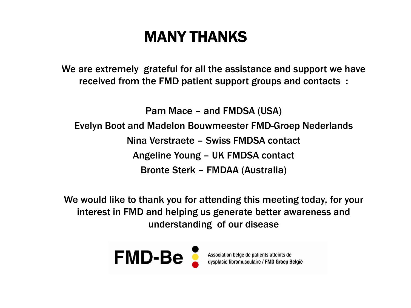# MANY THANKS

We are extremely grateful for all the assistance and support we have received from the FMD patient support groups and contacts :

Pam Mace – and FMDSA (USA)

Evelyn Boot and Madelon Bouwmeester FMD-Groep Nederlands

Nina Verstraete – Swiss FMDSA contact

Angeline Young – UK FMDSA contact

Bronte Sterk – FMDAA (Australia)

We would like to thank you for attending this meeting today, for your interest in FMD and helping us generate better awareness and understanding of our disease